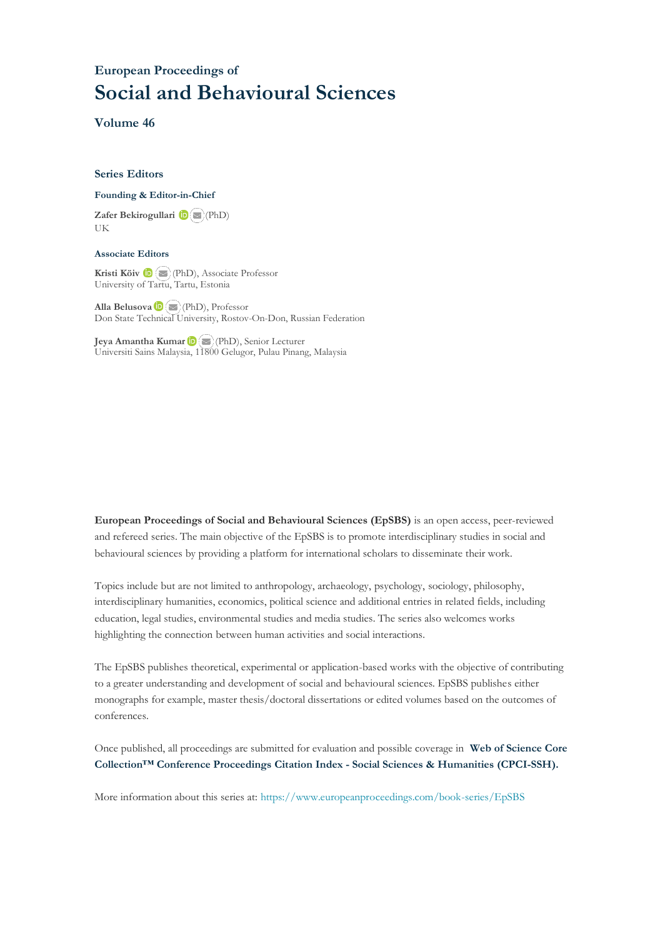### **European Proceedings of Social and Behavioural Sciences**

**Volume 46**

#### **Series Editors**

#### **Founding & Editor-in-Chief**

**Zafer Bekirogullari**(PhD) UK

#### **Associate Editors**

**Kristi Köiv** (PhD), Associate Professor University of Tartu, Tartu, Estonia

**Alla Belusova**(PhD), Professor Don State Technical University, Rostov-On-Don, Russian Federation

**Jeya Amantha Kumar**(PhD), Senior Lecturer Universiti Sains Malaysia, [1180](mailto:amantha@usm.my)0 Gelugor, Pulau Pinang, Malaysia

**European Proceedings of Social and Behavioural Sciences (EpSBS)** is an open access, peer-reviewed and refereed series. The main objective of the EpSBS is to promote interdisciplinary studies in social and behavioural sciences by providing a platform for international scholars to disseminate their work.

Topics include but are not limited to anthropology, archaeology, psychology, sociology, philosophy, interdisciplinary humanities, economics, political science and additional entries in related fields, including education, legal studies, environmental studies and media studies. The series also welcomes works highlighting the connection between human activities and social interactions.

The EpSBS publishes theoretical, experimental or application-based works with the objective of contributing to a greater understanding and development of social and behavioural sciences. EpSBS publishes either monographs for example, master thesis/doctoral dissertations or edited volumes based on the outcomes of conferences.

Once published, all proceedings are submitted for evaluation and possible coverage in **Web of [Science](https://clarivate.com/webofsciencegroup/solutions/webofscience-cpci/) Core Collection™ Conference Proceedings Citation Index - Social Sciences & Humanities [\(CPCI-SSH\).](https://clarivate.com/webofsciencegroup/solutions/webofscience-cpci/)**

More information about this series at[: https://www.europeanproceedings.com/book-series/EpSBS](https://www.europeanproceedings.com/book-series/EpSBS)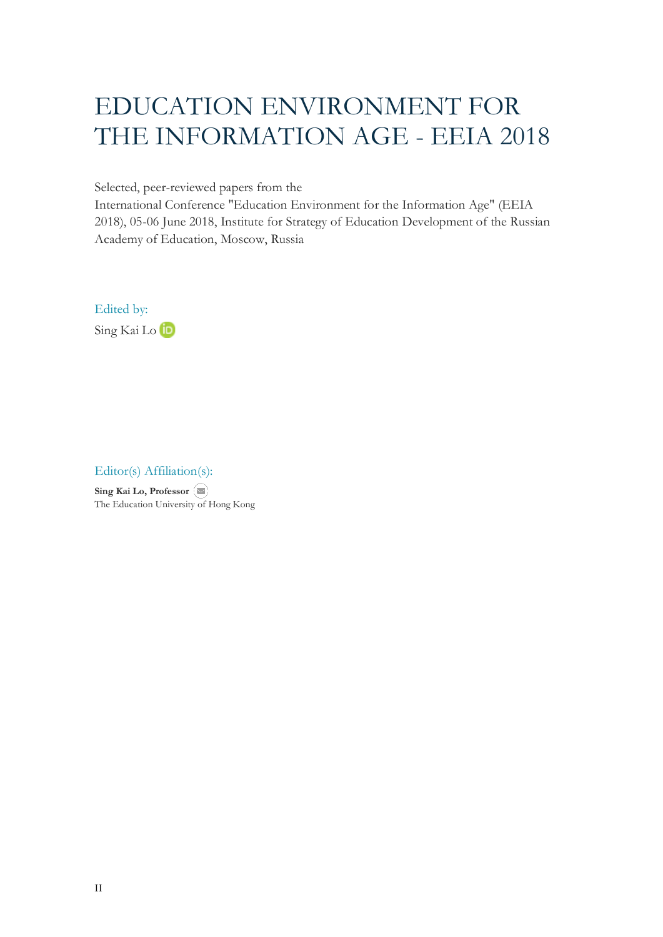# EDUCATION ENVIRONMENT FOR THE INFORMATION AGE - EEIA 2018

Selected, peer-reviewed papers from the

International Conference "Education Environment for the Information Age" (EEIA 2018), 05-06 June 2018, Institute for Strategy of Education Development of the Russian Academy of Education, Moscow, Russia

Edited by: Sing Kai Lo **ID** 

Editor(s) Affiliation(s):

**Sing Kai Lo, Professor** The Education University of Hong Kong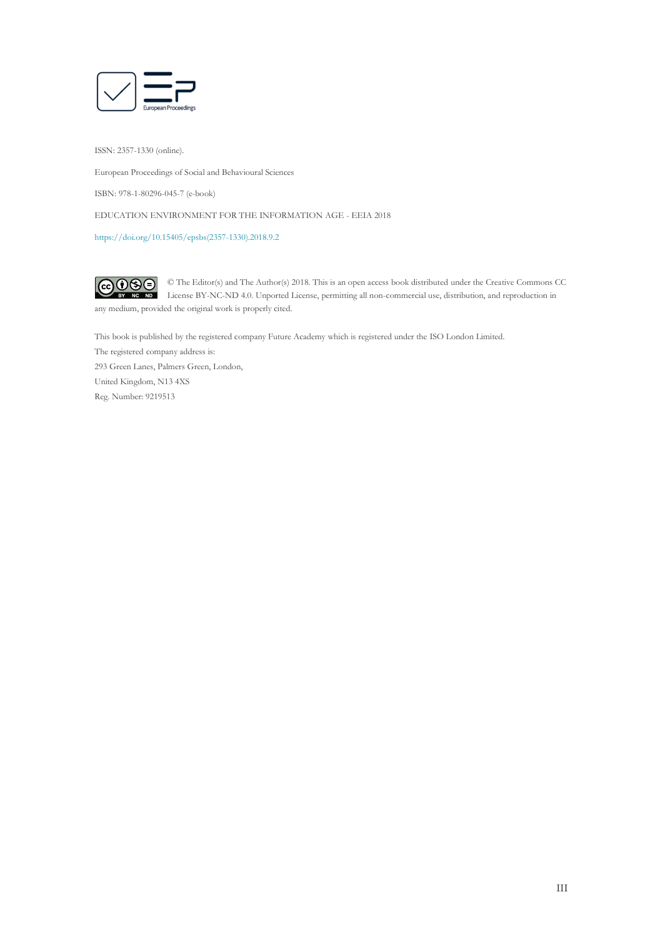

ISSN: 2357-1330 (online).

European Proceedings of Social and Behavioural Sciences

ISBN: 978-1-80296-045-7 (e-book)

EDUCATION ENVIRONMENT FOR THE INFORMATION AGE - EEIA 2018

[https://doi.org/10.15405/epsbs\(2357-1330\).2018.9.2](https://doi.org/10.15405/epsbs(2357-1330).2018.9.2)

 $G \odot \odot$ © The Editor(s) and The Author(s) 2018. This is an open access book distributed under the Creative Commons CC License BY-NC-ND 4.0. Unported License, permitting all non-commercial use, distribution, and reproduction in  $\overline{ND}$ any medium, provided the original work is properly cited.

This book is published by the registered company Future Academy which is registered under the ISO London Limited. The registered company address is: 293 Green Lanes, Palmers Green, London, United Kingdom, N13 4XS Reg. Number: 9219513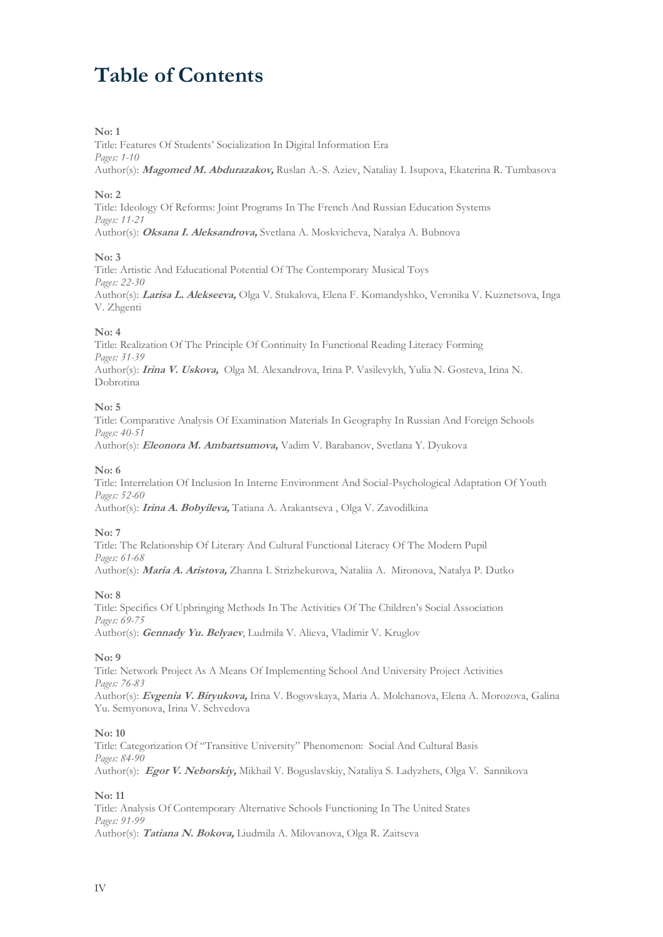## **Table of Contents**

#### **No: 1**

Title: Features Of Students' Socialization In Digital Information Era *Pages: 1-10* Author(s): **Magomed M. Abdurazakov,** Ruslan A.-S. Aziev, Nataliay I. Isupova, Ekaterina R. Tumbasova

#### **No: 2**

Title: Ideology Of Reforms: Joint Programs In The French And Russian Education Systems *Pages: 11-21* Author(s): **Oksana I. Aleksandrova,** Svetlana A. Moskvicheva, Natalya A. Bubnova

#### **No: 3**

Title: Artistic And Educational Potential Of The Contemporary Musical Toys *Pages: 22-30* Author(s): **Larisa L. Alekseeva,** Olga V. Stukalova, Elena F. Komandyshko, Veronika V. Kuznetsova, Inga V. Zhgenti

#### **No: 4**

Title: Realization Of The Principle Of Continuity In Functional Reading Literacy Forming *Pages: 31-39* Author(s): **Irina V. Uskova,** Olga M. Alexandrova, Irina P. Vasilevykh, Yulia N. Gosteva, Irina N. Dobrotina

#### **No: 5**

Title: Comparative Analysis Of Examination Materials In Geography In Russian And Foreign Schools *Pages: 40-51* Author(s): **Eleonora M. Ambartsumova,** Vadim V. Barabanov, Svetlana Y. Dyukova

#### **No: 6**

Title: Interrelation Of Inclusion In Interne Environment And Social-Psychological Adaptation Of Youth *Pages: 52-60* Author(s): **Irina A. Bobyileva,** Tatiana A. Arakantseva , Olga V. Zavodilkina

#### **No: 7**

Title: The Relationship Of Literary And Cultural Functional Literacy Of The Modern Pupil *Pages: 61-68* Author(s): **Maria A. Aristova,** Zhanna I. Strizhekurova, Nataliia A. Mironova, Natalya P. Dutko

#### **No: 8**

Title: Specifics Of Upbringing Methods In The Activities Of The Children's Social Association *Pages: 69-75* Author(s): **Gennady Yu. Belyaev**, Ludmila V. Alieva, Vladimir V. Kruglov

#### **No: 9**

Title: Network Project As A Means Of Implementing School And University Project Activities *Pages: 76-83* Author(s): **Evgenia V. Biryukova,** Irina V. Bogovskaya, Maria A. Molchanova, Elena A. Morozova, Galina Yu. Semyonova, Irina V. Schvedova

#### **No: 10**

Title: Categorization Of "Transitive University" Phenomenon: Social And Cultural Basis *Pages: 84-90* Author(s): **Egor V. Neborskiy,** Mikhail V. Boguslavskiy, Nataliya S. Ladyzhets, Olga V. Sannikova

#### **No: 11**

Title: Analysis Of Contemporary Alternative Schools Functioning In The United States *Pages: 91-99* Author(s): **Tatiana N. Bokova,** Liudmila A. Milovanova, Olga R. Zaitseva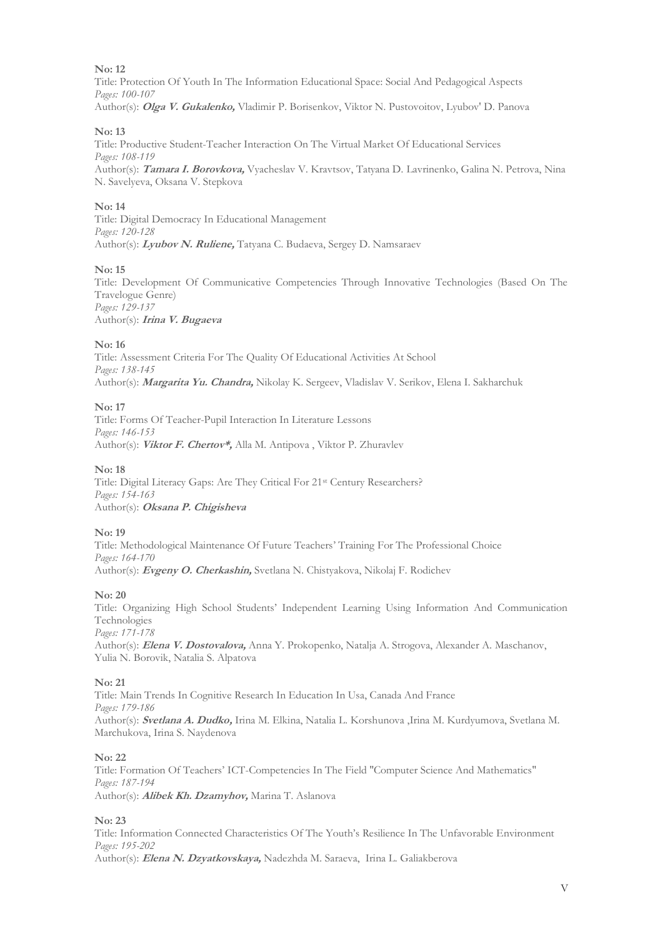Title: Protection Of Youth In The Information Educational Space: Social And Pedagogical Aspects *Pages: 100-107* Author(s): **Olga V. Gukalenko,** Vladimir P. Borisenkov, Viktor N. Pustovoitov, Lyubov' D. Panova

#### **No: 13**

Title: Productive Student-Teacher Interaction On The Virtual Market Of Educational Services *Pages: 108-119* Author(s): **Tamara I. Borovkova,** Vyacheslav V. Kravtsov, Tatyana D. Lavrinenko, Galina N. Petrova, Nina N. Savelyeva, Oksana V. Stepkova

#### **No: 14**

Title: Digital Democracy In Educational Management *Pages: 120-128* Author(s): **Lyubov N. Ruliene,** Tatyana C. Budaeva, Sergey D. Namsaraev

#### **No: 15**

Title: Development Of Communicative Competencies Through Innovative Technologies (Based On The Travelogue Genre) *Pages: 129-137* Author(s): **Irina V. Bugaeva**

#### **No: 16**

Title: Assessment Criteria For The Quality Of Educational Activities At School *Pages: 138-145* Author(s): **Margarita Yu. Chandra,** Nikolay K. Sergeev, Vladislav V. Serikov, Elena I. Sakharchuk

**No: 17**

Title: Forms Of Teacher-Pupil Interaction In Literature Lessons *Pages: 146-153* Author(s): **Viktor F. Chertov\*,** Alla M. Antipova , Viktor P. Zhuravlev

#### **No: 18**

Title: Digital Literacy Gaps: Are They Critical For 21st Century Researchers? *Pages: 154-163* Author(s): **Oksana P. Chigisheva**

**No: 19**

Title: Methodological Maintenance Of Future Teachers' Training For The Professional Choice *Pages: 164-170* Author(s): **Evgeny O. Cherkashin,** Svetlana N. Chistyakova, Nikolaj F. Rodichev

#### **No: 20**

Title: Organizing High School Students' Independent Learning Using Information And Communication Technologies *Pages: 171-178*

Author(s): **Elena V. Dostovalova,** Anna Y. Prokopenko, Natalja A. Strogova, Alexander A. Maschanov, Yulia N. Borovik, Natalia S. Alpatova

#### **No: 21**

Title: Main Trends In Cognitive Research In Education In Usa, Canada And France *Pages: 179-186* Author(s): **Svetlana A. Dudko,** Irina M. Elkina, Natalia L. Korshunova ,Irina M. Kurdyumova, Svetlana M. Marchukova, Irina S. Naydenova

#### **No: 22**

Title: Formation Of Teachers' ICT-Competencies In The Field "Computer Science And Mathematics" *Pages: 187-194* Author(s): **Alibek Kh. Dzamyhov,** Marina T. Aslanova

#### **No: 23**

Title: Information Connected Characteristics Of The Youth's Resilience In The Unfavorable Environment *Pages: 195-202* Author(s): **Elena N. Dzyatkovskaya,** Nadezhda M. Saraeva, Irina L. Galiakberova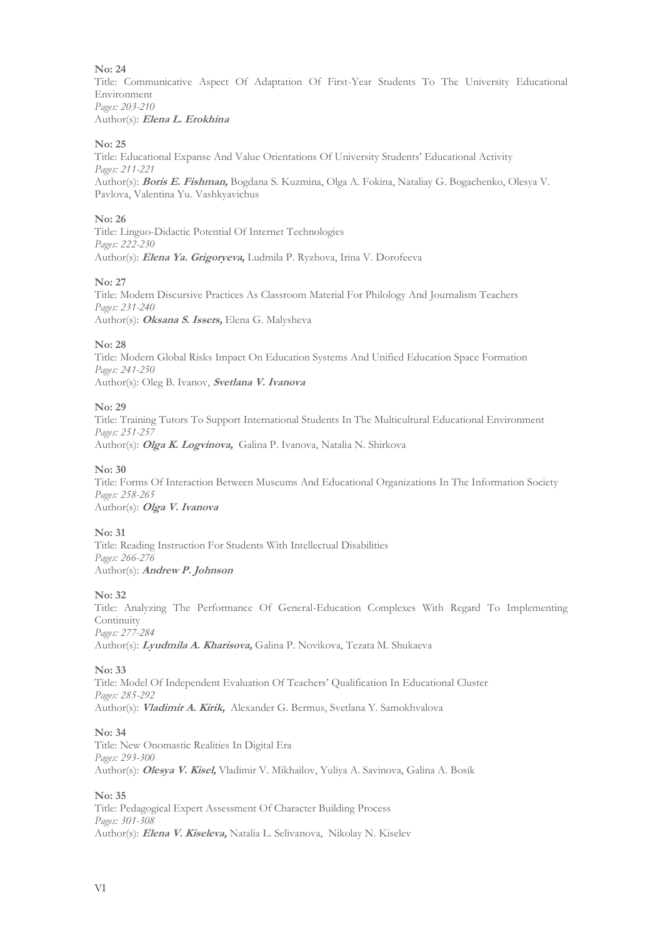Title: Communicative Aspect Of Adaptation Of First-Year Students To The University Educational Environment *Pages: 203-210* Author(s): **Elena L. Erokhina**

#### **No: 25**

Title: Educational Expanse And Value Orientations Of University Students' Educational Activity *Pages: 211-221* Author(s): **Boris E. Fishman,** Bogdana S. Kuzmina, Olga A. Fokina, Nataliay G. Bogachenko, Olesya V. Pavlova, Valentina Yu. Vashkyavichus

#### **No: 26**

Title: Linguo-Didactic Potential Of Internet Technologies *Pages: 222-230* Author(s): **Elena Ya. Grigoryeva,** Ludmila P. Ryzhova, Irina V. Dorofeeva

#### **No: 27**

Title: Modern Discursive Practices As Classroom Material For Philology And Journalism Teachers *Pages: 231-240* Author(s): **Oksana S. Issers,** Elena G. Malysheva

#### **No: 28**

Title: Modern Global Risks Impact On Education Systems And Unified Education Space Formation *Pages: 241-250* Author(s): Oleg B. Ivanov, **Svetlana V. Ivanova**

#### **No: 29**

Title: Training Tutors To Support International Students In The Multicultural Educational Environment *Pages: 251-257* Author(s): **Olga K. Logvinova,** Galina P. Ivanova, Natalia N. Shirkova

#### **No: 30**

Title: Forms Of Interaction Between Museums And Educational Organizations In The Information Society *Pages: 258-265* Author(s): **Olga V. Ivanova**

#### **No: 31**

Title: Reading Instruction For Students With Intellectual Disabilities *Pages: 266-276* Author(s): **Andrew P. Johnson**

#### **No: 32**

Title: Analyzing The Performance Of General-Education Complexes With Regard To Implementing Continuity *Pages: 277-284* Author(s): **Lyudmila A. Kharisova,** Galina P. Novikova, Tezata M. Shukaeva

#### **No: 33**

Title: Model Of Independent Evaluation Of Teachers' Qualification In Educational Cluster *Pages: 285-292* Author(s): **Vladimir A. Kirik,** Alexander G. Bermus, Svetlana Y. Samokhvalova

#### **No: 34**

Title: New Onomastic Realities In Digital Era *Pages: 293-300* Author(s): **Olesya V. Kisel,** Vladimir V. Mikhailov, Yuliya A. Savinova, Galina A. Bosik

#### **No: 35**

Title: Pedagogical Expert Assessment Of Character Building Process *Pages: 301-308* Author(s): **Elena V. Kiseleva,** Natalia L. Selivanova, Nikolay N. Kiselev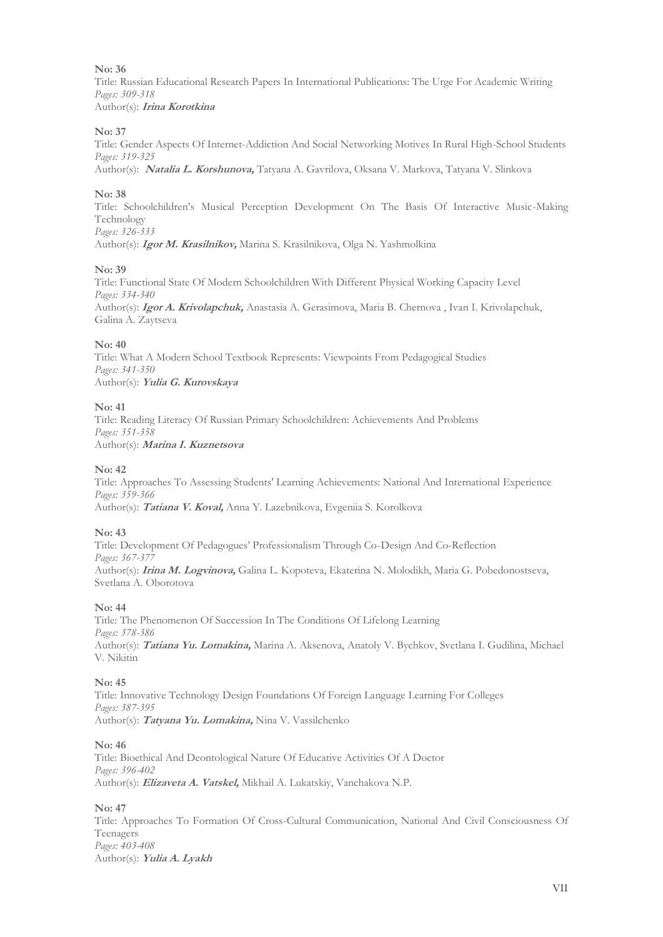Title: Russian Educational Research Papers In International Publications: The Urge For Academic Writing *Pages: 309-318* Author(s): **Irina Korotkina**

#### **No: 37**

Title: Gender Aspects Of Internet-Addiction And Social Networking Motives In Rural High-School Students *Pages: 319-325* Author(s): **Natalia L. Korshunova,** Tatyana A. Gavrilova, Oksana V. Markova, Tatyana V. Slinkova

#### **No: 38**

Title: Schoolchildren's Musical Perception Development On The Basis Of Interactive Music-Making Technology *Pages: 326-333*

Author(s): **Igor M. Krasilnikov,** Marina S. Krasilnikova, Olga N. Yashmolkina

#### **No: 39**

Title: Functional State Of Modern Schoolchildren With Different Physical Working Capacity Level *Pages: 334-340* Author(s): **Igor A. Krivolapchuk,** Anastasia A. Gerasimova, Maria B. Chernova , Ivan I. Krivolapchuk, Galina A. Zaytseva

#### **No: 40**

Title: What A Modern School Textbook Represents: Viewpoints From Pedagogical Studies *Pages: 341-350* Author(s): **Yulia G. Kurovskaya**

#### **No: 41**

Title: Reading Literacy Of Russian Primary Schoolchildren: Achievements And Problems *Pages: 351-358* Author(s): **Marina I. Kuznetsova**

#### **No: 42**

Title: Approaches To Assessing Students' Learning Achievements: National And International Experience *Pages: 359-366* Author(s): **Tatiana V. Koval,** Anna Y. Lazebnikova, Evgeniia S. Korolkova

#### **No: 43**

Title: Development Of Pedagogues' Professionalism Through Co-Design And Co-Reflection *Pages: 367-377* Author(s): **Irina M. Logvinova,** Galina L. Kopoteva, Ekaterina N. Molodikh, Maria G. Pobedonostseva, Svetlana A. Oborotova

#### **No: 44**

Title: The Phenomenon Of Succession In The Conditions Of Lifelong Learning *Pages: 378-386* Author(s): **Tatiana Yu. Lomakina,** Marina A. Aksenova, Anatoly V. Bychkov, Svetlana I. Gudilina, Michael V. Nikitin

#### **No: 45**

Title: Innovative Technology Design Foundations Of Foreign Language Learning For Colleges *Pages: 387-395* Author(s): **Tatyana Yu. Lomakina,** Nina V. Vassilchenko

#### **No: 46**

Title: Bioethical And Deontological Nature Of Educative Activities Of A Doctor *Pages: 396-402* Author(s): **Elizaveta A. Vatskel,** Mikhail A. Lukatskiy, Vanchakova N.P.

#### **No: 47**

Title: Approaches To Formation Of Cross-Cultural Communication, National And Civil Consciousness Of Teenagers *Pages: 403-408* Author(s): **Yulia A. Lyakh**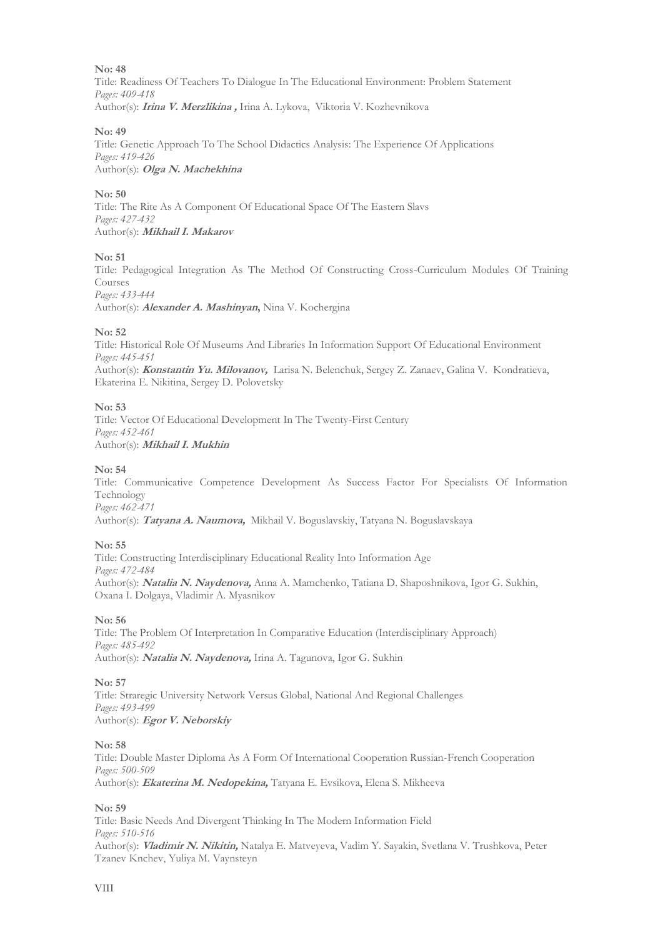Title: Readiness Of Teachers To Dialogue In The Educational Environment: Problem Statement *Pages: 409-418* Author(s): **Irina V. Merzlikina ,** Irina A. Lykova, Viktoria V. Kozhevnikova

#### **No: 49**

Title: Genetic Approach To The School Didactics Analysis: The Experience Of Applications *Pages: 419-426* Author(s): **Olga N. Machekhina**

#### **No: 50**

Title: The Rite As A Component Of Educational Space Of The Eastern Slavs *Pages: 427-432* Author(s): **Mikhail I. Makarov**

#### **No: 51**

Title: Pedagogical Integration As The Method Of Constructing Cross-Curriculum Modules Of Training Courses

*Pages: 433-444*

Author(s): **Alexander A. Mashinyan,** Nina V. Kochergina

#### **No: 52**

Title: Historical Role Of Museums And Libraries In Information Support Of Educational Environment *Pages: 445-451* Author(s): **Konstantin Yu. Milovanov,** Larisa N. Belenchuk, Sergey Z. Zanaev, Galina V. Kondratieva, Ekaterina E. Nikitina, Sergey D. Polovetsky

#### **No: 53**

Title: Vector Of Educational Development In The Twenty-First Century *Pages: 452-461* Author(s): **Mikhail I. Mukhin**

#### **No: 54**

Title: Communicative Competence Development As Success Factor For Specialists Of Information Technology *Pages: 462-471*

Author(s): **Tatyana A. Naumova,** Mikhail V. Boguslavskiy, Tatyana N. Boguslavskaya

#### **No: 55**

Title: Constructing Interdisciplinary Educational Reality Into Information Age *Pages: 472-484* Author(s): **Natalia N. Naydenova,** Anna A. Mamchenko, Tatiana D. Shaposhnikova, Igor G. Sukhin, Oxana I. Dolgaya, Vladimir A. Myasnikov

#### **No: 56**

Title: The Problem Of Interpretation In Comparative Education (Interdisciplinary Approach) *Pages: 485-492* Author(s): **Natalia N. Naydenova,** Irina A. Tagunova, Igor G. Sukhin

#### **No: 57**

Title: Straregic University Network Versus Global, National And Regional Challenges *Pages: 493-499* Author(s): **Egor V. Neborskiy**

#### **No: 58**

Title: Double Master Diploma As A Form Of International Cooperation Russian-French Cooperation *Pages: 500-509* Author(s): **Ekaterina M. Nedopekina,** Tatyana E. Evsikova, Elena S. Mikheeva

#### **No: 59**

Title: Basic Needs And Divergent Thinking In The Modern Information Field *Pages: 510-516* Author(s): **Vladimir N. Nikitin,** Natalya E. Matveyeva, Vadim Y. Sayakin, Svetlana V. Trushkova, Peter Tzanev Knchev, Yuliya M. Vaynsteyn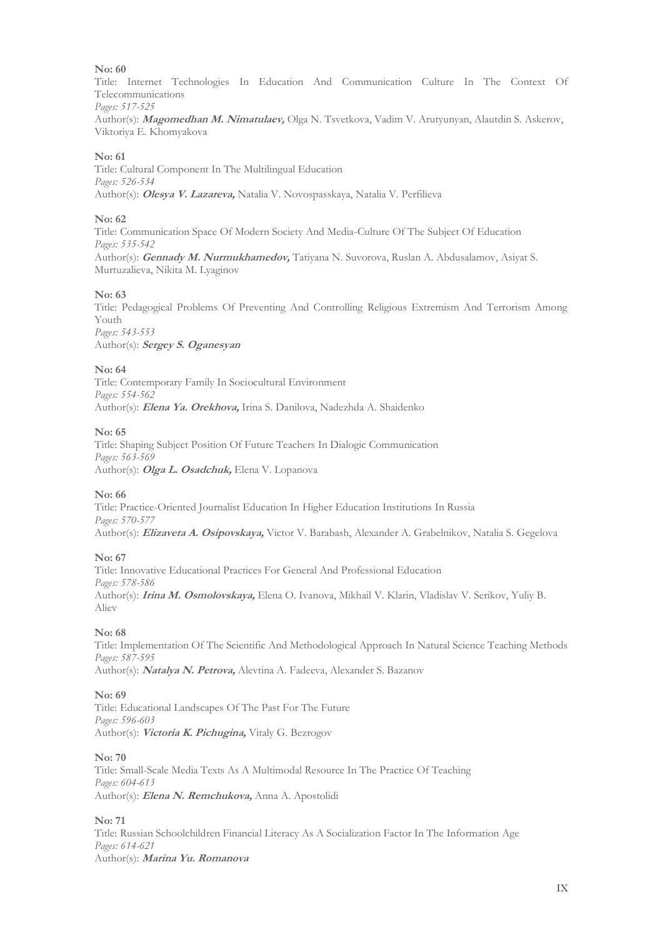Title: Internet Technologies In Education And Communication Culture In The Context Of Telecommunications *Pages: 517-525*

Author(s): **Magomedhan M. Nimatulaev,** Olga N. Tsvetkova, Vadim V. Arutyunyan, Alautdin S. Askerov, Viktoriya E. Khomyakova

#### **No: 61**

Title: Cultural Component In The Multilingual Education *Pages: 526-534* Author(s): **Olesya V. Lazareva,** Natalia V. Novospasskaya, Natalia V. Perfilieva

#### **No: 62**

Title: Communication Space Of Modern Society And Media-Culture Of The Subject Of Education *Pages: 535-542* Author(s): **Gennady M. Nurmukhamedov,** Tatiyana N. Suvorova, Ruslan A. Abdusalamov, Asiyat S. Murtuzalieva, Nikita M. Lyaginov

#### **No: 63**

Title: Pedagogical Problems Of Preventing And Controlling Religious Extremism And Terrorism Among Youth *Pages: 543-553*

Author(s): **Sergey S. Oganesyan**

#### **No: 64**

Title: Contemporary Family In Sociocultural Environment *Pages: 554-562* Author(s): **Elena Ya. Orekhova,** Irina S. Danilova, Nadezhda A. Shaidenko

#### **No: 65**

Title: Shaping Subject Position Of Future Teachers In Dialogic Communication *Pages: 563-569* Author(s): **Olga L. Osadchuk,** Elena V. Lopanova

#### **No: 66**

Title: Practice-Oriented Journalist Education In Higher Education Institutions In Russia *Pages: 570-577* Author(s): **Elizaveta A. Osipovskaya,** Victor V. Barabash, Alexander A. Grabelnikov, Natalia S. Gegelova

#### **No: 67**

Title: Innovative Educational Practices For General And Professional Education *Pages: 578-586* Author(s): **Irina M. Osmolovskaya,** Elena O. Ivanova, Mikhail V. Klarin, Vladislav V. Serikov, Yuliy B. Aliev

#### **No: 68**

Title: Implementation Of The Scientific And Methodological Approach In Natural Science Teaching Methods *Pages: 587-595* Author(s): **Natalya N. Petrova,** Alevtina A. Fadeeva, Alexander S. Bazanov

#### **No: 69**

Title: Educational Landscapes Of The Past For The Future *Pages: 596-603* Author(s): **Victoria K. Pichugina,** Vitaly G. Bezrogov

#### **No: 70**

Title: Small-Scale Media Texts As A Multimodal Resource In The Practice Of Teaching *Pages: 604-613* Author(s): **Elena N. Remchukova,** Anna A. Apostolidi

#### **No: 71**

Title: Russian Schoolchildren Financial Literacy As A Socialization Factor In The Information Age *Pages: 614-621* Author(s): **Marina Yu. Romanova**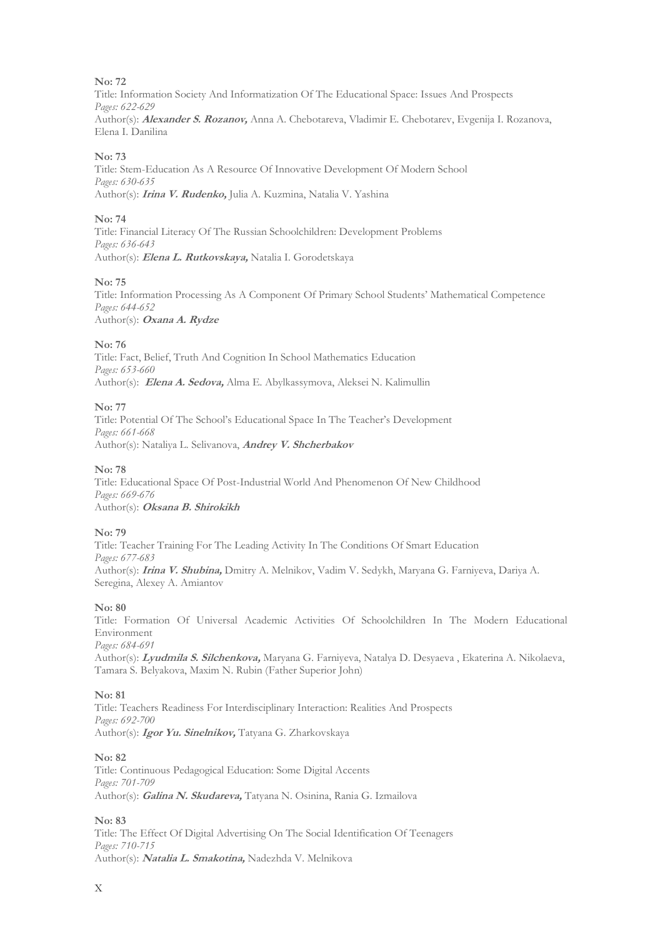Title: Information Society And Informatization Of The Educational Space: Issues And Prospects *Pages: 622-629* Author(s): **Alexander S. Rozanov,** Anna A. Chebotareva, Vladimir E. Chebotarev, Evgenija I. Rozanova, Elena I. Danilina

#### **No: 73**

Title: Stem-Education As A Resource Of Innovative Development Of Modern School *Pages: 630-635* Author(s): **Irina V. Rudenko,** Julia A. Kuzmina, Natalia V. Yashina

#### **No: 74**

Title: Financial Literacy Of The Russian Schoolchildren: Development Problems *Pages: 636-643* Author(s): **Elena L. Rutkovskaya,** Natalia I. Gorodetskaya

#### **No: 75**

Title: Information Processing As A Component Of Primary School Students' Mathematical Competence *Pages: 644-652* Author(s): **Oxana A. Rydze**

#### **No: 76**

Title: Fact, Belief, Truth And Cognition In School Mathematics Education *Pages: 653-660* Author(s): **Elena A. Sedova,** Alma E. Abylkassymova, Aleksei N. Kalimullin

#### **No: 77**

Title: Potential Of The School's Educational Space In The Teacher's Development *Pages: 661-668* Author(s): Nataliya L. Selivanova, **Andrey V. Shcherbakov**

#### **No: 78**

Title: Educational Space Of Post-Industrial World And Phenomenon Of New Childhood *Pages: 669-676* Author(s): **Oksana B. Shirokikh**

**No: 79**

Title: Teacher Training For The Leading Activity In The Conditions Of Smart Education *Pages: 677-683* Author(s): **Irina V. Shubina,** Dmitry A. Melnikov, Vadim V. Sedykh, Maryana G. Farniyeva, Dariya A. Seregina, Alexey A. Amiantov

#### **No: 80**

Title: Formation Of Universal Academic Activities Of Schoolchildren In The Modern Educational Environment *Pages: 684-691*

Author(s): **Lyudmila S. Silchenkova,** Maryana G. Farniyeva, Natalya D. Desyaeva , Ekaterina A. Nikolaeva, Tamara S. Belyakova, Maxim N. Rubin (Father Superior John)

#### **No: 81**

Title: Teachers Readiness For Interdisciplinary Interaction: Realities And Prospects *Pages: 692-700* Author(s): **Igor Yu. Sinelnikov,** Tatyana G. Zharkovskaya

#### **No: 82**

Title: Continuous Pedagogical Education: Some Digital Accents *Pages: 701-709* Author(s): **Galina N. Skudareva,** Tatyana N. Osinina, Rania G. Izmailova

#### **No: 83**

Title: The Effect Of Digital Advertising On The Social Identification Of Teenagers *Pages: 710-715* Author(s): **Natalia L. Smakotina,** Nadezhda V. Melnikova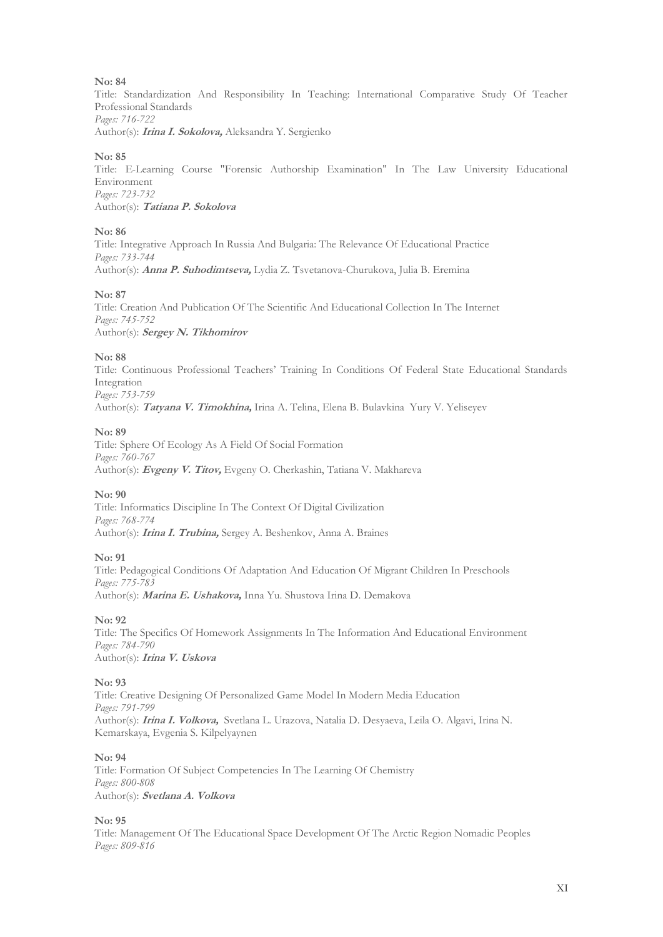Title: Standardization And Responsibility In Teaching: International Comparative Study Of Teacher Professional Standards *Pages: 716-722* Author(s): **Irina I. Sokolova,** Aleksandra Y. Sergienko

#### **No: 85**

Title: E-Learning Course "Forensic Authorship Examination" In The Law University Educational Environment *Pages: 723-732* Author(s): **Tatiana P. Sokolova**

#### **No: 86**

Title: Integrative Approach In Russia And Bulgaria: The Relevance Of Educational Practice *Pages: 733-744* Author(s): **Anna P. Suhodimtseva,** Lydia Z. Tsvetanova-Churukova, Julia B. Eremina

#### **No: 87**

Title: Creation And Publication Of The Scientific And Educational Collection In The Internet *Pages: 745-752* Author(s): **Sergey N. Tikhomirov**

#### **No: 88**

Title: Continuous Professional Teachers' Training In Conditions Of Federal State Educational Standards Integration *Pages: 753-759* Author(s): **Tatyana V. Timokhina,** Irina A. Telina, Elena B. Bulavkina Yury V. Yeliseyev

#### **No: 89**

Title: Sphere Of Ecology As A Field Of Social Formation *Pages: 760-767* Author(s): **Evgeny V. Titov,** Evgeny O. Cherkashin, Tatiana V. Makhareva

#### **No: 90**

Title: Informatics Discipline In The Context Of Digital Civilization *Pages: 768-774* Author(s): **Irina I. Trubina,** Sergey A. Beshenkov, Anna A. Braines

#### **No: 91**

Title: Pedagogical Conditions Of Adaptation And Education Of Migrant Children In Preschools *Pages: 775-783* Author(s): **Marina E. Ushakova,** Inna Yu. Shustova Irina D. Demakova

#### **No: 92**

Title: The Specifics Of Homework Assignments In The Information And Educational Environment *Pages: 784-790* Author(s): **Irina V. Uskova**

#### **No: 93**

Title: Creative Designing Of Personalized Game Model In Modern Media Education *Pages: 791-799* Author(s): **Irina I. Volkova,** Svetlana L. Urazova, Natalia D. Desyaeva, Leila O. Algavi, Irina N. Kemarskaya, Evgenia S. Kilpelyaynen

#### **No: 94**

Title: Formation Of Subject Competencies In The Learning Of Chemistry *Pages: 800-808* Author(s): **Svetlana A. Volkova**

#### **No: 95**

Title: Management Of The Educational Space Development Of The Arctic Region Nomadic Peoples *Pages: 809-816*